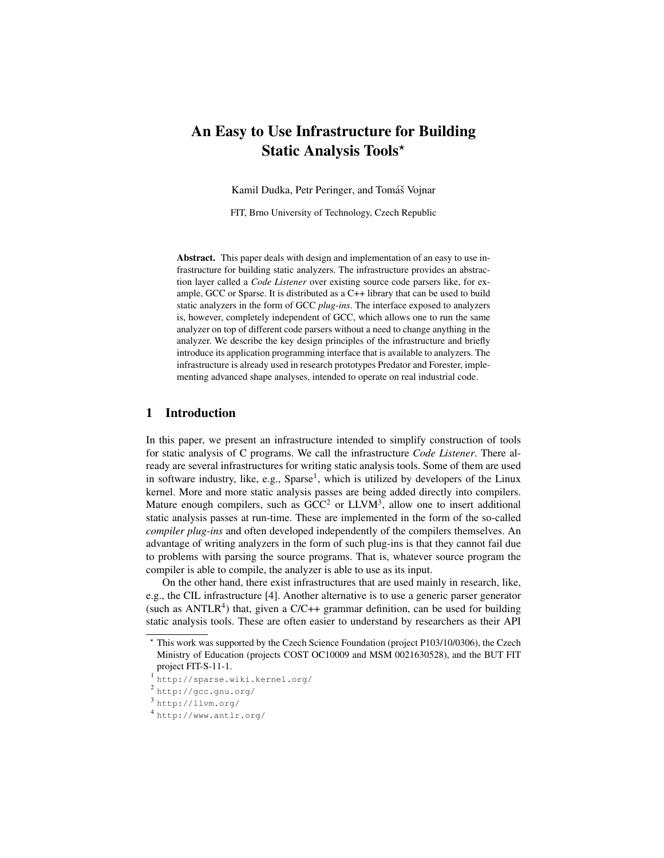# An Easy to Use Infrastructure for Building Static Analysis Tools?

Kamil Dudka, Petr Peringer, and Tomáš Vojnar

FIT, Brno University of Technology, Czech Republic

Abstract. This paper deals with design and implementation of an easy to use infrastructure for building static analyzers. The infrastructure provides an abstraction layer called a *Code Listener* over existing source code parsers like, for example, GCC or Sparse. It is distributed as a  $C_{++}$  library that can be used to build static analyzers in the form of GCC *plug-ins*. The interface exposed to analyzers is, however, completely independent of GCC, which allows one to run the same analyzer on top of different code parsers without a need to change anything in the analyzer. We describe the key design principles of the infrastructure and briefly introduce its application programming interface that is available to analyzers. The infrastructure is already used in research prototypes Predator and Forester, implementing advanced shape analyses, intended to operate on real industrial code.

# 1 Introduction

In this paper, we present an infrastructure intended to simplify construction of tools for static analysis of C programs. We call the infrastructure *Code Listener*. There already are several infrastructures for writing static analysis tools. Some of them are used in software industry, like, e.g., Sparse<sup>1</sup>, which is utilized by developers of the Linux kernel. More and more static analysis passes are being added directly into compilers. Mature enough compilers, such as  $GCC<sup>2</sup>$  or  $LLVM<sup>3</sup>$ , allow one to insert additional static analysis passes at run-time. These are implemented in the form of the so-called *compiler plug-ins* and often developed independently of the compilers themselves. An advantage of writing analyzers in the form of such plug-ins is that they cannot fail due to problems with parsing the source programs. That is, whatever source program the compiler is able to compile, the analyzer is able to use as its input.

On the other hand, there exist infrastructures that are used mainly in research, like, e.g., the CIL infrastructure [4]. Another alternative is to use a generic parser generator (such as  $ANTLR<sup>4</sup>$ ) that, given a C/C++ grammar definition, can be used for building static analysis tools. These are often easier to understand by researchers as their API

<sup>?</sup> This work was supported by the Czech Science Foundation (project P103/10/0306), the Czech Ministry of Education (projects COST OC10009 and MSM 0021630528), and the BUT FIT project FIT-S-11-1.

<sup>1</sup> http://sparse.wiki.kernel.org/

<sup>2</sup> http://gcc.gnu.org/

<sup>3</sup> http://llvm.org/

<sup>4</sup> http://www.antlr.org/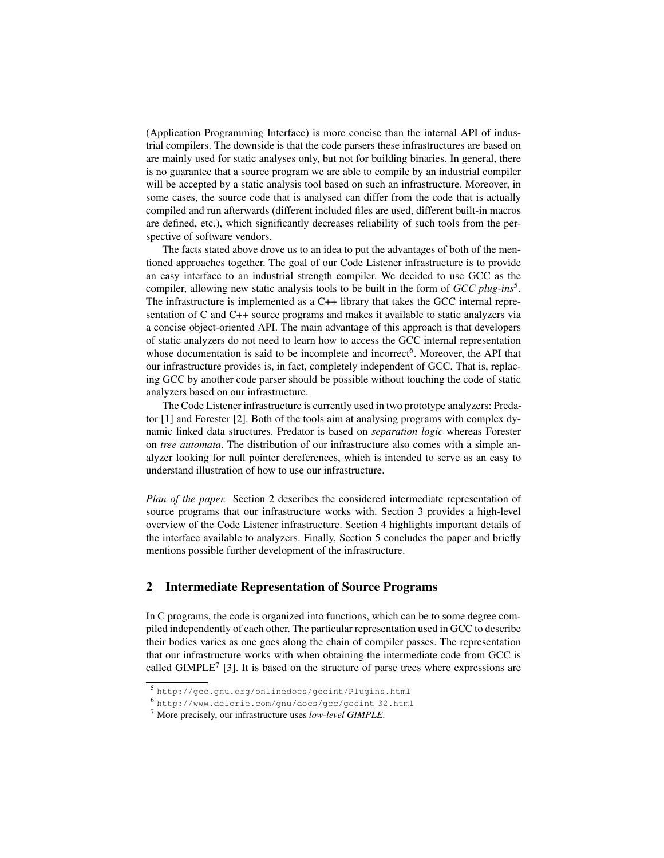(Application Programming Interface) is more concise than the internal API of industrial compilers. The downside is that the code parsers these infrastructures are based on are mainly used for static analyses only, but not for building binaries. In general, there is no guarantee that a source program we are able to compile by an industrial compiler will be accepted by a static analysis tool based on such an infrastructure. Moreover, in some cases, the source code that is analysed can differ from the code that is actually compiled and run afterwards (different included files are used, different built-in macros are defined, etc.), which significantly decreases reliability of such tools from the perspective of software vendors.

The facts stated above drove us to an idea to put the advantages of both of the mentioned approaches together. The goal of our Code Listener infrastructure is to provide an easy interface to an industrial strength compiler. We decided to use GCC as the compiler, allowing new static analysis tools to be built in the form of *GCC plug-ins*<sup>5</sup> . The infrastructure is implemented as a C++ library that takes the GCC internal representation of C and C++ source programs and makes it available to static analyzers via a concise object-oriented API. The main advantage of this approach is that developers of static analyzers do not need to learn how to access the GCC internal representation whose documentation is said to be incomplete and incorrect<sup>6</sup>. Moreover, the API that our infrastructure provides is, in fact, completely independent of GCC. That is, replacing GCC by another code parser should be possible without touching the code of static analyzers based on our infrastructure.

The Code Listener infrastructure is currently used in two prototype analyzers: Predator [1] and Forester [2]. Both of the tools aim at analysing programs with complex dynamic linked data structures. Predator is based on *separation logic* whereas Forester on *tree automata*. The distribution of our infrastructure also comes with a simple analyzer looking for null pointer dereferences, which is intended to serve as an easy to understand illustration of how to use our infrastructure.

*Plan of the paper.* Section 2 describes the considered intermediate representation of source programs that our infrastructure works with. Section 3 provides a high-level overview of the Code Listener infrastructure. Section 4 highlights important details of the interface available to analyzers. Finally, Section 5 concludes the paper and briefly mentions possible further development of the infrastructure.

# 2 Intermediate Representation of Source Programs

In C programs, the code is organized into functions, which can be to some degree compiled independently of each other. The particular representation used in GCC to describe their bodies varies as one goes along the chain of compiler passes. The representation that our infrastructure works with when obtaining the intermediate code from GCC is called GIMPLE<sup>7</sup> [3]. It is based on the structure of parse trees where expressions are

<sup>5</sup> http://gcc.gnu.org/onlinedocs/gccint/Plugins.html

<sup>6</sup> http://www.delorie.com/gnu/docs/gcc/gccint 32.html

<sup>7</sup> More precisely, our infrastructure uses *low-level GIMPLE*.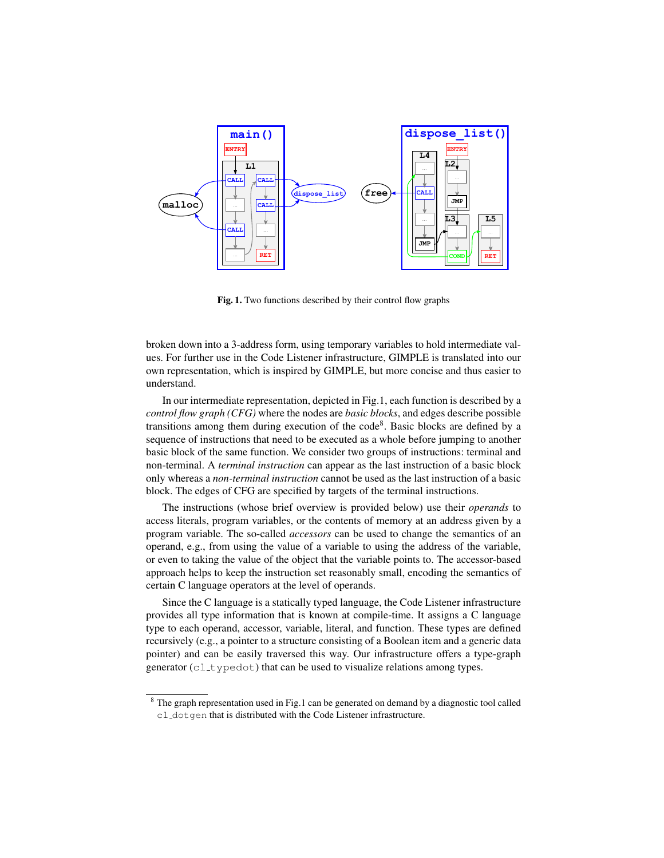

Fig. 1. Two functions described by their control flow graphs

broken down into a 3-address form, using temporary variables to hold intermediate values. For further use in the Code Listener infrastructure, GIMPLE is translated into our own representation, which is inspired by GIMPLE, but more concise and thus easier to understand.

In our intermediate representation, depicted in Fig.1, each function is described by a *control flow graph (CFG)* where the nodes are *basic blocks*, and edges describe possible transitions among them during execution of the code $8$ . Basic blocks are defined by a sequence of instructions that need to be executed as a whole before jumping to another basic block of the same function. We consider two groups of instructions: terminal and non-terminal. A *terminal instruction* can appear as the last instruction of a basic block only whereas a *non-terminal instruction* cannot be used as the last instruction of a basic block. The edges of CFG are specified by targets of the terminal instructions.

The instructions (whose brief overview is provided below) use their *operands* to access literals, program variables, or the contents of memory at an address given by a program variable. The so-called *accessors* can be used to change the semantics of an operand, e.g., from using the value of a variable to using the address of the variable, or even to taking the value of the object that the variable points to. The accessor-based approach helps to keep the instruction set reasonably small, encoding the semantics of certain C language operators at the level of operands.

Since the C language is a statically typed language, the Code Listener infrastructure provides all type information that is known at compile-time. It assigns a C language type to each operand, accessor, variable, literal, and function. These types are defined recursively (e.g., a pointer to a structure consisting of a Boolean item and a generic data pointer) and can be easily traversed this way. Our infrastructure offers a type-graph generator  $(cl_{\perp}$ ypedot) that can be used to visualize relations among types.

<sup>&</sup>lt;sup>8</sup> The graph representation used in Fig.1 can be generated on demand by a diagnostic tool called cl dotgen that is distributed with the Code Listener infrastructure.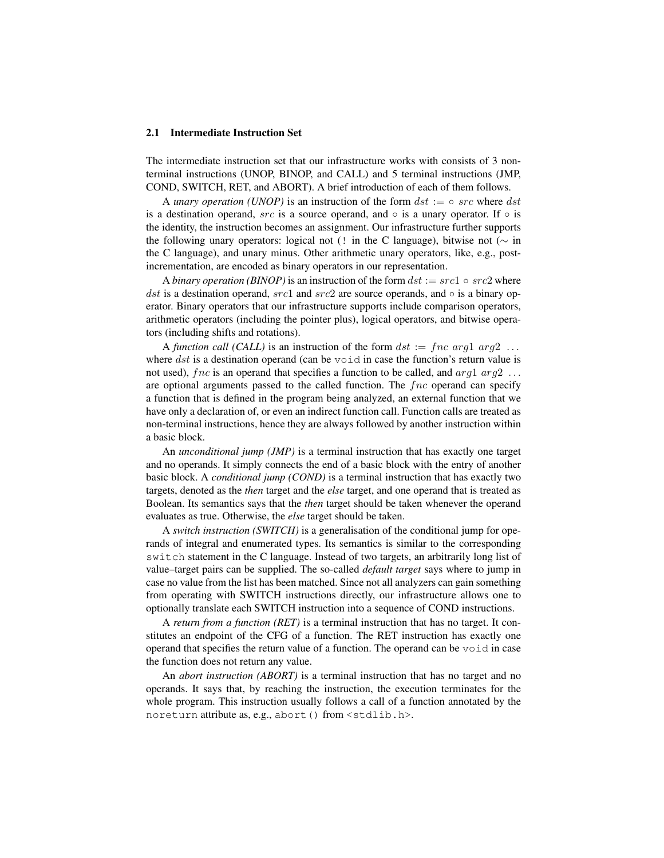#### 2.1 Intermediate Instruction Set

The intermediate instruction set that our infrastructure works with consists of 3 nonterminal instructions (UNOP, BINOP, and CALL) and 5 terminal instructions (JMP, COND, SWITCH, RET, and ABORT). A brief introduction of each of them follows.

A *unary operation (UNOP)* is an instruction of the form  $dst := \circ src$  where  $dst$ is a destination operand, src is a source operand, and  $\circ$  is a unary operator. If  $\circ$  is the identity, the instruction becomes an assignment. Our infrastructure further supports the following unary operators: logical not (! in the C language), bitwise not ( $\sim$  in the C language), and unary minus. Other arithmetic unary operators, like, e.g., postincrementation, are encoded as binary operators in our representation.

A *binary operation (BINOP)* is an instruction of the form  $dst := src1 \circ src2$  where dst is a destination operand,  $src1$  and  $src2$  are source operands, and  $\circ$  is a binary operator. Binary operators that our infrastructure supports include comparison operators, arithmetic operators (including the pointer plus), logical operators, and bitwise operators (including shifts and rotations).

A *function call (CALL)* is an instruction of the form  $dst := \int r \cdot \frac{arq1}{arq2}$ ... where dst is a destination operand (can be void in case the function's return value is not used), fnc is an operand that specifies a function to be called, and  $arg1 arg2 ...$ are optional arguments passed to the called function. The  $fnc$  operand can specify a function that is defined in the program being analyzed, an external function that we have only a declaration of, or even an indirect function call. Function calls are treated as non-terminal instructions, hence they are always followed by another instruction within a basic block.

An *unconditional jump (JMP)* is a terminal instruction that has exactly one target and no operands. It simply connects the end of a basic block with the entry of another basic block. A *conditional jump (COND)* is a terminal instruction that has exactly two targets, denoted as the *then* target and the *else* target, and one operand that is treated as Boolean. Its semantics says that the *then* target should be taken whenever the operand evaluates as true. Otherwise, the *else* target should be taken.

A *switch instruction (SWITCH)* is a generalisation of the conditional jump for operands of integral and enumerated types. Its semantics is similar to the corresponding switch statement in the C language. Instead of two targets, an arbitrarily long list of value–target pairs can be supplied. The so-called *default target* says where to jump in case no value from the list has been matched. Since not all analyzers can gain something from operating with SWITCH instructions directly, our infrastructure allows one to optionally translate each SWITCH instruction into a sequence of COND instructions.

A *return from a function (RET)* is a terminal instruction that has no target. It constitutes an endpoint of the CFG of a function. The RET instruction has exactly one operand that specifies the return value of a function. The operand can be void in case the function does not return any value.

An *abort instruction (ABORT)* is a terminal instruction that has no target and no operands. It says that, by reaching the instruction, the execution terminates for the whole program. This instruction usually follows a call of a function annotated by the noreturn attribute as, e.g., abort() from <stdlib.h>.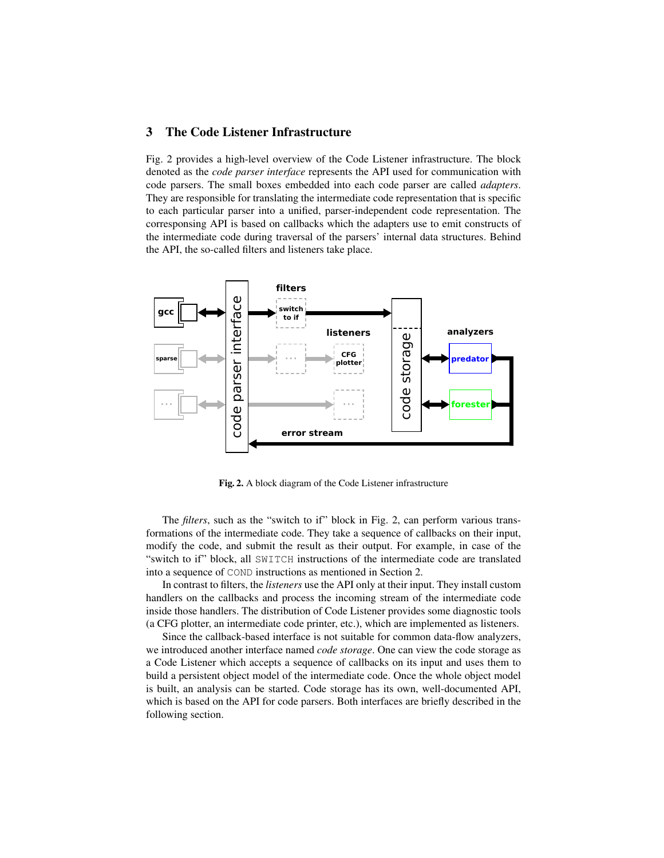#### 3 The Code Listener Infrastructure

Fig. 2 provides a high-level overview of the Code Listener infrastructure. The block denoted as the *code parser interface* represents the API used for communication with code parsers. The small boxes embedded into each code parser are called *adapters*. They are responsible for translating the intermediate code representation that is specific to each particular parser into a unified, parser-independent code representation. The corresponsing API is based on callbacks which the adapters use to emit constructs of the intermediate code during traversal of the parsers' internal data structures. Behind the API, the so-called filters and listeners take place.



Fig. 2. A block diagram of the Code Listener infrastructure

The *filters*, such as the "switch to if" block in Fig. 2, can perform various transformations of the intermediate code. They take a sequence of callbacks on their input, modify the code, and submit the result as their output. For example, in case of the "switch to if" block, all SWITCH instructions of the intermediate code are translated into a sequence of COND instructions as mentioned in Section 2.

In contrast to filters, the *listeners* use the API only at their input. They install custom handlers on the callbacks and process the incoming stream of the intermediate code inside those handlers. The distribution of Code Listener provides some diagnostic tools (a CFG plotter, an intermediate code printer, etc.), which are implemented as listeners.

Since the callback-based interface is not suitable for common data-flow analyzers, we introduced another interface named *code storage*. One can view the code storage as a Code Listener which accepts a sequence of callbacks on its input and uses them to build a persistent object model of the intermediate code. Once the whole object model is built, an analysis can be started. Code storage has its own, well-documented API, which is based on the API for code parsers. Both interfaces are briefly described in the following section.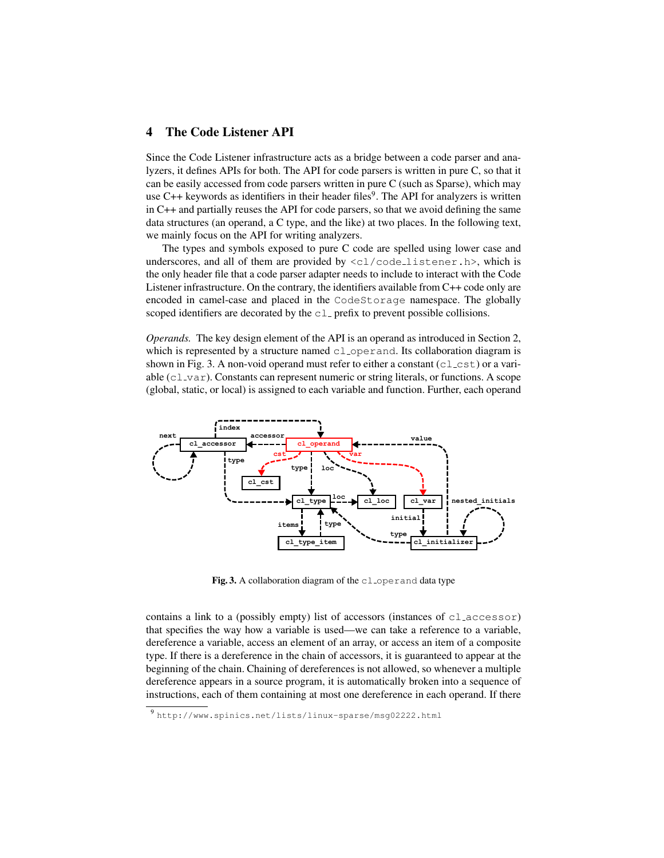#### 4 The Code Listener API

Since the Code Listener infrastructure acts as a bridge between a code parser and analyzers, it defines APIs for both. The API for code parsers is written in pure C, so that it can be easily accessed from code parsers written in pure C (such as Sparse), which may use  $C++$  keywords as identifiers in their header files<sup>9</sup>. The API for analyzers is written in C++ and partially reuses the API for code parsers, so that we avoid defining the same data structures (an operand, a C type, and the like) at two places. In the following text, we mainly focus on the API for writing analyzers.

The types and symbols exposed to pure C code are spelled using lower case and underscores, and all of them are provided by <cl/code\_listener.h>, which is the only header file that a code parser adapter needs to include to interact with the Code Listener infrastructure. On the contrary, the identifiers available from C++ code only are encoded in camel-case and placed in the CodeStorage namespace. The globally scoped identifiers are decorated by the  $c_l$ -prefix to prevent possible collisions.

*Operands.* The key design element of the API is an operand as introduced in Section 2, which is represented by a structure named  $c1$  operand. Its collaboration diagram is shown in Fig. 3. A non-void operand must refer to either a constant  $(cl_cest)$  or a variable  $(c)$  var). Constants can represent numeric or string literals, or functions. A scope (global, static, or local) is assigned to each variable and function. Further, each operand



Fig. 3. A collaboration diagram of the cloperand data type

contains a link to a (possibly empty) list of accessors (instances of cl accessor) that specifies the way how a variable is used—we can take a reference to a variable, dereference a variable, access an element of an array, or access an item of a composite type. If there is a dereference in the chain of accessors, it is guaranteed to appear at the beginning of the chain. Chaining of dereferences is not allowed, so whenever a multiple dereference appears in a source program, it is automatically broken into a sequence of instructions, each of them containing at most one dereference in each operand. If there

<sup>&</sup>lt;sup>9</sup>http://www.spinics.net/lists/linux-sparse/msg02222.html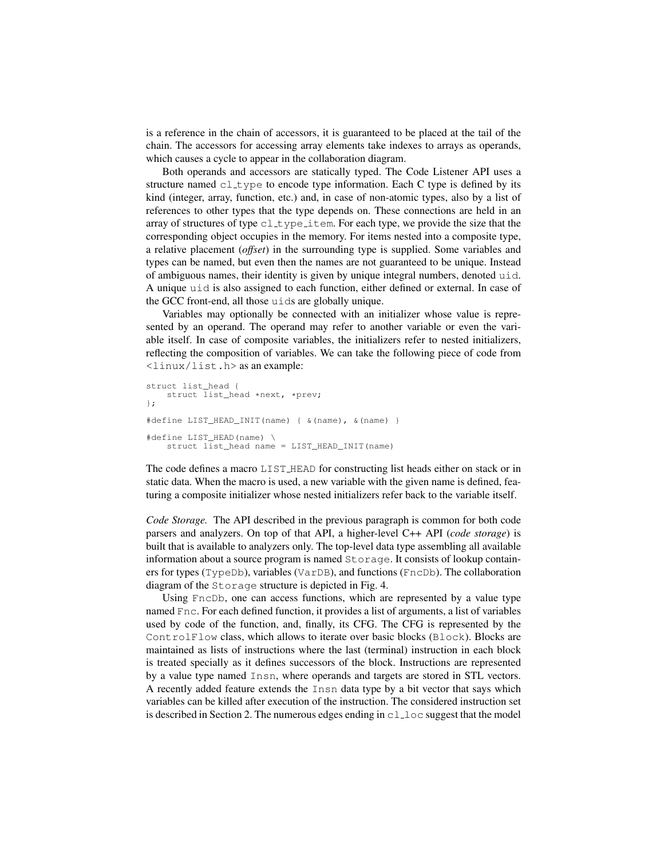is a reference in the chain of accessors, it is guaranteed to be placed at the tail of the chain. The accessors for accessing array elements take indexes to arrays as operands, which causes a cycle to appear in the collaboration diagram.

Both operands and accessors are statically typed. The Code Listener API uses a structure named  $cl\_type$  to encode type information. Each C type is defined by its kind (integer, array, function, etc.) and, in case of non-atomic types, also by a list of references to other types that the type depends on. These connections are held in an array of structures of type  $cl\_type\_item$ . For each type, we provide the size that the corresponding object occupies in the memory. For items nested into a composite type, a relative placement (*offset*) in the surrounding type is supplied. Some variables and types can be named, but even then the names are not guaranteed to be unique. Instead of ambiguous names, their identity is given by unique integral numbers, denoted uid. A unique uid is also assigned to each function, either defined or external. In case of the GCC front-end, all those uids are globally unique.

Variables may optionally be connected with an initializer whose value is represented by an operand. The operand may refer to another variable or even the variable itself. In case of composite variables, the initializers refer to nested initializers, reflecting the composition of variables. We can take the following piece of code from <linux/list.h> as an example:

```
struct list_head {
    struct list_head *next, *prev;
};
#define LIST_HEAD_INIT(name) { &(name), &(name) }
#define LIST_HEAD(name) \
    struct list_head name = LIST_HEAD_INIT(name)
```
The code defines a macro LIST\_HEAD for constructing list heads either on stack or in static data. When the macro is used, a new variable with the given name is defined, featuring a composite initializer whose nested initializers refer back to the variable itself.

*Code Storage.* The API described in the previous paragraph is common for both code parsers and analyzers. On top of that API, a higher-level C++ API (*code storage*) is built that is available to analyzers only. The top-level data type assembling all available information about a source program is named Storage. It consists of lookup containers for types (TypeDb), variables (VarDB), and functions (FncDb). The collaboration diagram of the Storage structure is depicted in Fig. 4.

Using FncDb, one can access functions, which are represented by a value type named Fnc. For each defined function, it provides a list of arguments, a list of variables used by code of the function, and, finally, its CFG. The CFG is represented by the ControlFlow class, which allows to iterate over basic blocks (Block). Blocks are maintained as lists of instructions where the last (terminal) instruction in each block is treated specially as it defines successors of the block. Instructions are represented by a value type named Insn, where operands and targets are stored in STL vectors. A recently added feature extends the Insn data type by a bit vector that says which variables can be killed after execution of the instruction. The considered instruction set is described in Section 2. The numerous edges ending in  $cl\_loc$  suggest that the model